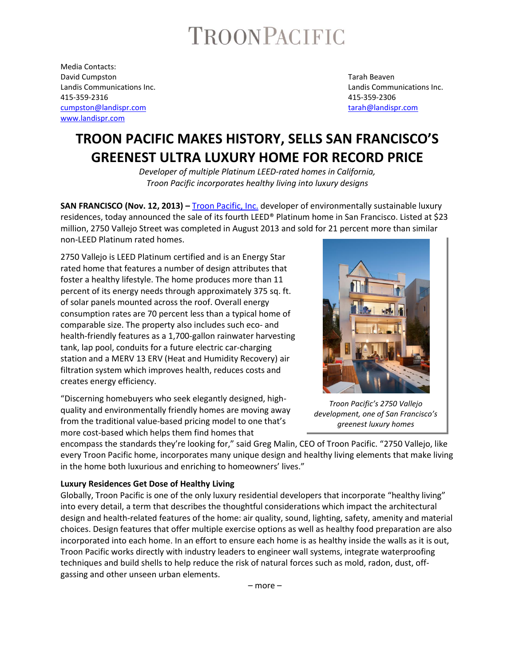# TROONPACIFIC

Media Contacts: David Cumpston Tarah Beaven 415-359-2316 415-359-2306 [cumpston@landispr.com](mailto:cumpston@landispr.com) [tarah@landispr.com](mailto:tarah@landispr.com) [www.landispr.com](http://www.landispr.com/)

Landis Communications Inc. Landis Communications Inc.

# **TROON PACIFIC MAKES HISTORY, SELLS SAN FRANCISCO'S GREENEST ULTRA LUXURY HOME FOR RECORD PRICE**

*Developer of multiple Platinum LEED-rated homes in California, Troon Pacific incorporates healthy living into luxury designs* 

**SAN FRANCISCO (Nov. 12, 2013) –** Troon [Pacific, Inc.](http://www.troonresidential.com/portfolio) developer of environmentally sustainable luxury residences, today announced the sale of its fourth LEED® Platinum home in San Francisco. Listed at \$23 million, 2750 Vallejo Street was completed in August 2013 and sold for 21 percent more than similar non-LEED Platinum rated homes.

2750 Vallejo is LEED Platinum certified and is an Energy Star rated home that features a number of design attributes that foster a healthy lifestyle. The home produces more than 11 percent of its energy needs through approximately 375 sq. ft. of solar panels mounted across the roof. Overall energy consumption rates are 70 percent less than a typical home of comparable size. The property also includes such eco- and health-friendly features as a 1,700-gallon rainwater harvesting tank, lap pool, conduits for a future electric car-charging station and a MERV 13 ERV (Heat and Humidity Recovery) air filtration system which improves health, reduces costs and creates energy efficiency.

"Discerning homebuyers who seek elegantly designed, highquality and environmentally friendly homes are moving away from the traditional value-based pricing model to one that's more cost-based which helps them find homes that

encompass the standards they're looking for," said Greg Malin, CEO of Troon Pacific. "2750 Vallejo, like every Troon Pacific home, incorporates many unique design and healthy living elements that make living in the home both luxurious and enriching to homeowners' lives."

#### **Luxury Residences Get Dose of Healthy Living**

Globally, Troon Pacific is one of the only luxury residential developers that incorporate "healthy living" into every detail, a term that describes the thoughtful considerations which impact the architectural design and health-related features of the home: air quality, sound, lighting, safety, amenity and material choices. Design features that offer multiple exercise options as well as healthy food preparation are also incorporated into each home. In an effort to ensure each home is as healthy inside the walls as it is out, Troon Pacific works directly with industry leaders to engineer wall systems, integrate waterproofing techniques and build shells to help reduce the risk of natural forces such as mold, radon, dust, offgassing and other unseen urban elements.



*Troon Pacific's 2750 Vallejo development, one of San Francisco's greenest luxury homes*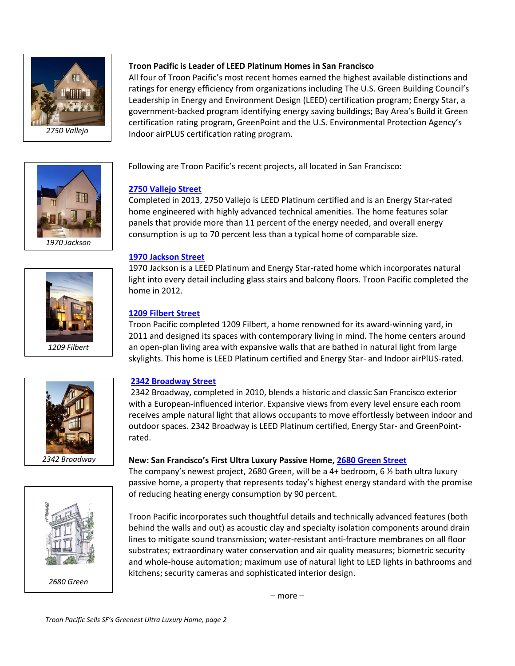



**Troon Pacific is Leader of LEED Platinum Homes in San Francisco** 

All four of Troon Pacific's most recent homes earned the highest available distinctions and ratings for energy efficiency from organizations including The U.S. Green Building Council's Leadership in Energy and Environment Design (LEED) certification program; Energy Star, a government-backed program identifying energy saving buildings; Bay Area's Build it Green certification rating program, GreenPoint and the U.S. Environmental Protection Agency's Indoor airPLUS certification rating program.

Following are Troon Pacific's recent projects, all located in San Francisco:

# **[2750 Vallejo Street](http://residence2750.com/)**

Completed in 2013, 2750 Vallejo is LEED Platinum certified and is an Energy Star-rated home engineered with highly advanced technical amenities. The home features solar panels that provide more than 11 percent of the energy needed, and overall energy consumption is up to 70 percent less than a typical home of comparable size.

## **1970 [Jackson Street](http://www.troonresidential.com/residences/residence-1970)**

1970 Jackson is a LEED Platinum and Energy Star-rated home which incorporates natural light into every detail including glass stairs and balcony floors. Troon Pacific completed the home in 2012.

# **1209 [Filbert Street](http://www.troonresidential.com/residences/residence-1209)**

Troon Pacific completed 1209 Filbert, a home renowned for its award-winning yard, in 2011 and designed its spaces with contemporary living in mind. The home centers around an open-plan living area with expansive walls that are bathed in natural light from large skylights. This home is LEED Platinum certified and Energy Star- and Indoor airPlUS-rated.

## **2342 [Broadway Street](http://www.troonresidential.com/residences/residence-2342)**

2342 Broadway, completed in 2010, blends a historic and classic San Francisco exterior with a European-influenced interior. Expansive views from every level ensure each room receives ample natural light that allows occupants to move effortlessly between indoor and outdoor spaces. 2342 Broadway is LEED Platinum certified, Energy Star- and GreenPointrated.

## **New: San Francisco's First Ultra Luxury Passive Home, 2680 [Green Street](http://www.troonresidential.com/portfolio)**

The company's newest project, 2680 Green, will be a 4+ bedroom, 6 ½ bath ultra luxury passive home, a property that represents today's highest energy standard with the promise of reducing heating energy consumption by 90 percent.

Troon Pacific incorporates such thoughtful details and technically advanced features (both behind the walls and out) as acoustic clay and specialty isolation components around drain lines to mitigate sound transmission; water-resistant anti-fracture membranes on all floor substrates; extraordinary water conservation and air quality measures; biometric security and whole-house automation; maximum use of natural light to LED lights in bathrooms and kitchens; security cameras and sophisticated interior design.

– more –



*2342 Broadway* 



*2680 Green*